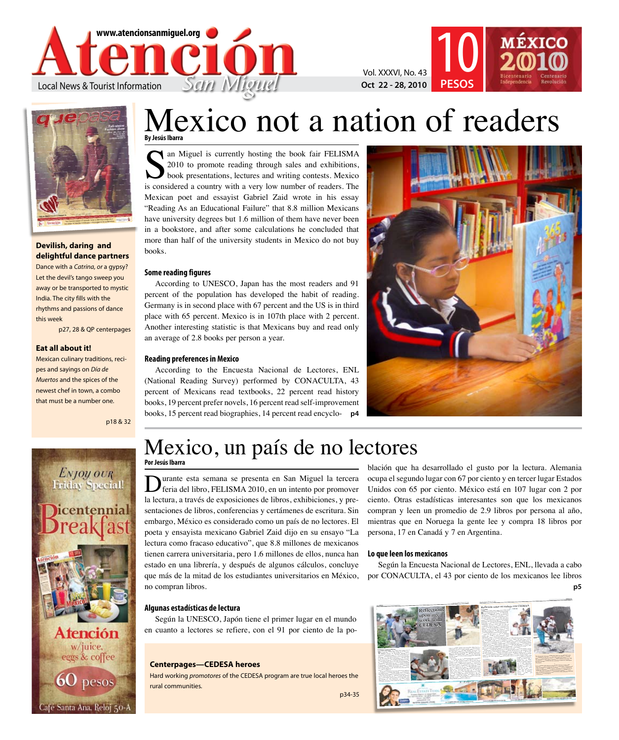

Vol. XXXVI, No. 43 **10** 



### **Devilish, daring and delightful dance partners**

Dance with a *Catrina, or* a gypsy? Let the devil's tango sweep you away or be transported to mystic India. The city fills with the rhythms and passions of dance this week

p27, 28 & QP centerpages

### **Eat all about it!**

Mexican culinary traditions, recipes and sayings on *Día de Muertos* and the spices of the newest chef in town, a combo that must be a number one.

p18 & 32



Café Santa Ana, Reloj 50-A

### **By Jesús Ibarra** Mexico not a nation of readers

If an Miguel is currently hosting the book fair FELISMA 2010 to promote reading through sales and exhibitions, book presentations, lectures and writing contests. Mexico is considered a country with a very low number of readers. The Mexican poet and essayist Gabriel Zaid wrote in his essay "Reading As an Educational Failure" that 8.8 million Mexicans have university degrees but 1.6 million of them have never been in a bookstore, and after some calculations he concluded that more than half of the university students in Mexico do not buy books.

### **Some reading figures**

According to UNESCO, Japan has the most readers and 91 percent of the population has developed the habit of reading. Germany is in second place with 67 percent and the US is in third place with 65 percent. Mexico is in 107th place with 2 percent. Another interesting statistic is that Mexicans buy and read only an average of 2.8 books per person a year.

### **Reading preferences in Mexico**

According to the Encuesta Nacional de Lectores, ENL (National Reading Survey) performed by CONACULTA, 43 percent of Mexicans read textbooks, 22 percent read history books, 19 percent prefer novels, 16 percent read self-improvement books, 15 percent read biographies, 14 percent read encyclo-**p4**



**PESOS**

## Mexico, un país de no lectores

**Por Jesús Ibarra**

urante esta semana se presenta en San Miguel la tercera feria del libro, FELISMA 2010, en un intento por promover la lectura, a través de exposiciones de libros, exhibiciones, y presentaciones de libros, conferencias y certámenes de escritura. Sin embargo, México es considerado como un país de no lectores. El poeta y ensayista mexicano Gabriel Zaid dijo en su ensayo "La lectura como fracaso educativo", que 8.8 millones de mexicanos tienen carrera universitaria, pero 1.6 millones de ellos, nunca han estado en una librería, y después de algunos cálculos, concluye que más de la mitad de los estudiantes universitarios en México, no compran libros.

blación que ha desarrollado el gusto por la lectura. Alemania ocupa el segundo lugar con 67 por ciento y en tercer lugar Estados Unidos con 65 por ciento. México está en 107 lugar con 2 por ciento. Otras estadísticas interesantes son que los mexicanos compran y leen un promedio de 2.9 libros por persona al año, mientras que en Noruega la gente lee y compra 18 libros por persona, 17 en Canadá y 7 en Argentina.

#### **Lo que leen los mexicanos**

Según la Encuesta Nacional de Lectores, ENL, llevada a cabo por CONACULTA, el 43 por ciento de los mexicanos lee libros **p5**

### **Algunas estadísticas de lectura**

Según la UNESCO, Japón tiene el primer lugar en el mundo en cuanto a lectores se refiere, con el 91 por ciento de la po-

### **Centerpages—CEDESA heroes**

Hard working *promotores* of the CEDESA program are true local heroes the rural communities.

p34-35